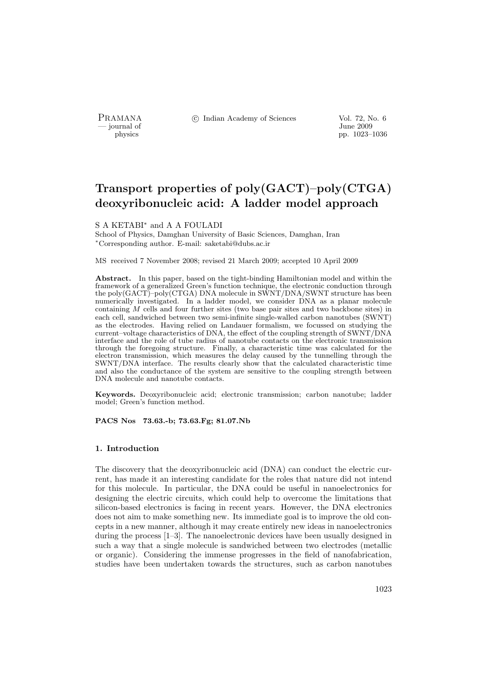- journal of<br>physics

PRAMANA <sup>©</sup>© Indian Academy of Sciences Vol. 72, No. 6<br>
— journal of Unne 2009

pp. 1023–1036

# Transport properties of poly(GACT)–poly(CTGA) deoxyribonucleic acid: A ladder model approach

## S A KETABI<sup>∗</sup> and A A FOULADI

School of Physics, Damghan University of Basic Sciences, Damghan, Iran <sup>∗</sup>Corresponding author. E-mail: saketabi@dubs.ac.ir

MS received 7 November 2008; revised 21 March 2009; accepted 10 April 2009

Abstract. In this paper, based on the tight-binding Hamiltonian model and within the framework of a generalized Green's function technique, the electronic conduction through the poly(GACT)–poly(CTGA) DNA molecule in SWNT/DNA/SWNT structure has been numerically investigated. In a ladder model, we consider DNA as a planar molecule containing M cells and four further sites (two base pair sites and two backbone sites) in each cell, sandwiched between two semi-infinite single-walled carbon nanotubes (SWNT) as the electrodes. Having relied on Landauer formalism, we focussed on studying the current–voltage characteristics of DNA, the effect of the coupling strength of SWNT/DNA interface and the role of tube radius of nanotube contacts on the electronic transmission through the foregoing structure. Finally, a characteristic time was calculated for the electron transmission, which measures the delay caused by the tunnelling through the SWNT/DNA interface. The results clearly show that the calculated characteristic time and also the conductance of the system are sensitive to the coupling strength between DNA molecule and nanotube contacts.

Keywords. Deoxyribonucleic acid; electronic transmission; carbon nanotube; ladder model; Green's function method.

PACS Nos 73.63.-b; 73.63.Fg; 81.07.Nb

# 1. Introduction

The discovery that the deoxyribonucleic acid (DNA) can conduct the electric current, has made it an interesting candidate for the roles that nature did not intend for this molecule. In particular, the DNA could be useful in nanoelectronics for designing the electric circuits, which could help to overcome the limitations that silicon-based electronics is facing in recent years. However, the DNA electronics does not aim to make something new. Its immediate goal is to improve the old concepts in a new manner, although it may create entirely new ideas in nanoelectronics during the process [1–3]. The nanoelectronic devices have been usually designed in such a way that a single molecule is sandwiched between two electrodes (metallic or organic). Considering the immense progresses in the field of nanofabrication, studies have been undertaken towards the structures, such as carbon nanotubes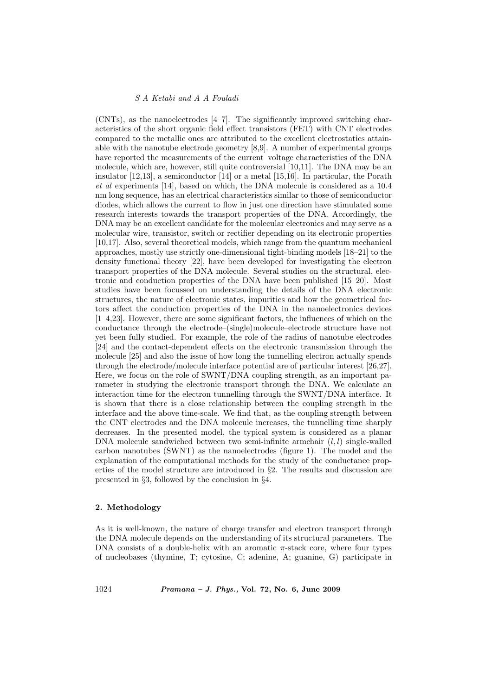(CNTs), as the nanoelectrodes [4–7]. The significantly improved switching characteristics of the short organic field effect transistors (FET) with CNT electrodes compared to the metallic ones are attributed to the excellent electrostatics attainable with the nanotube electrode geometry [8,9]. A number of experimental groups have reported the measurements of the current–voltage characteristics of the DNA molecule, which are, however, still quite controversial [10,11]. The DNA may be an insulator [12,13], a semiconductor [14] or a metal [15,16]. In particular, the Porath et al experiments [14], based on which, the DNA molecule is considered as a 10.4 nm long sequence, has an electrical characteristics similar to those of semiconductor diodes, which allows the current to flow in just one direction have stimulated some research interests towards the transport properties of the DNA. Accordingly, the DNA may be an excellent candidate for the molecular electronics and may serve as a molecular wire, transistor, switch or rectifier depending on its electronic properties [10,17]. Also, several theoretical models, which range from the quantum mechanical approaches, mostly use strictly one-dimensional tight-binding models [18–21] to the density functional theory [22], have been developed for investigating the electron transport properties of the DNA molecule. Several studies on the structural, electronic and conduction properties of the DNA have been published [15–20]. Most studies have been focussed on understanding the details of the DNA electronic structures, the nature of electronic states, impurities and how the geometrical factors affect the conduction properties of the DNA in the nanoelectronics devices [1–4,23]. However, there are some significant factors, the influences of which on the conductance through the electrode–(single)molecule–electrode structure have not yet been fully studied. For example, the role of the radius of nanotube electrodes [24] and the contact-dependent effects on the electronic transmission through the molecule [25] and also the issue of how long the tunnelling electron actually spends through the electrode/molecule interface potential are of particular interest [26,27]. Here, we focus on the role of SWNT/DNA coupling strength, as an important parameter in studying the electronic transport through the DNA. We calculate an interaction time for the electron tunnelling through the SWNT/DNA interface. It is shown that there is a close relationship between the coupling strength in the interface and the above time-scale. We find that, as the coupling strength between the CNT electrodes and the DNA molecule increases, the tunnelling time sharply decreases. In the presented model, the typical system is considered as a planar DNA molecule sandwiched between two semi-infinite armchair  $(l, l)$  single-walled carbon nanotubes (SWNT) as the nanoelectrodes (figure 1). The model and the explanation of the computational methods for the study of the conductance properties of the model structure are introduced in §2. The results and discussion are presented in §3, followed by the conclusion in §4.

# 2. Methodology

As it is well-known, the nature of charge transfer and electron transport through the DNA molecule depends on the understanding of its structural parameters. The DNA consists of a double-helix with an aromatic π-stack core, where four types of nucleobases (thymine, T; cytosine, C; adenine, A; guanine, G) participate in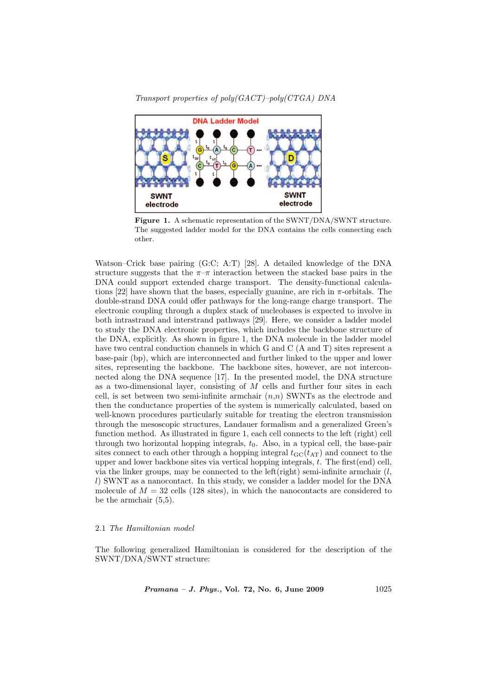

Transport properties of poly(GACT)–poly(CTGA) DNA

Figure 1. A schematic representation of the SWNT/DNA/SWNT structure. The suggested ladder model for the DNA contains the cells connecting each other.

Watson–Crick base pairing (G:C; A:T) [28]. A detailed knowledge of the DNA structure suggests that the  $\pi-\pi$  interaction between the stacked base pairs in the DNA could support extended charge transport. The density-functional calculations [22] have shown that the bases, especially guanine, are rich in  $\pi$ -orbitals. The double-strand DNA could offer pathways for the long-range charge transport. The electronic coupling through a duplex stack of nucleobases is expected to involve in both intrastrand and interstrand pathways [29]. Here, we consider a ladder model to study the DNA electronic properties, which includes the backbone structure of the DNA, explicitly. As shown in figure 1, the DNA molecule in the ladder model have two central conduction channels in which G and C (A and T) sites represent a base-pair (bp), which are interconnected and further linked to the upper and lower sites, representing the backbone. The backbone sites, however, are not interconnected along the DNA sequence [17]. In the presented model, the DNA structure as a two-dimensional layer, consisting of  $M$  cells and further four sites in each cell, is set between two semi-infinite armchair  $(n,n)$  SWNTs as the electrode and then the conductance properties of the system is numerically calculated, based on well-known procedures particularly suitable for treating the electron transmission through the mesoscopic structures, Landauer formalism and a generalized Green's function method. As illustrated in figure 1, each cell connects to the left (right) cell through two horizontal hopping integrals,  $t<sub>0</sub>$ . Also, in a typical cell, the base-pair sites connect to each other through a hopping integral  $t_{\text{GC}}(t_{\text{AT}})$  and connect to the upper and lower backbone sites via vertical hopping integrals, t. The first(end) cell, via the linker groups, may be connected to the left(right) semi-infinite armchair  $(l,$ l) SWNT as a nanocontact. In this study, we consider a ladder model for the DNA molecule of  $M = 32$  cells (128 sites), in which the nanocontacts are considered to be the armchair (5,5).

# 2.1 The Hamiltonian model

The following generalized Hamiltonian is considered for the description of the SWNT/DNA/SWNT structure: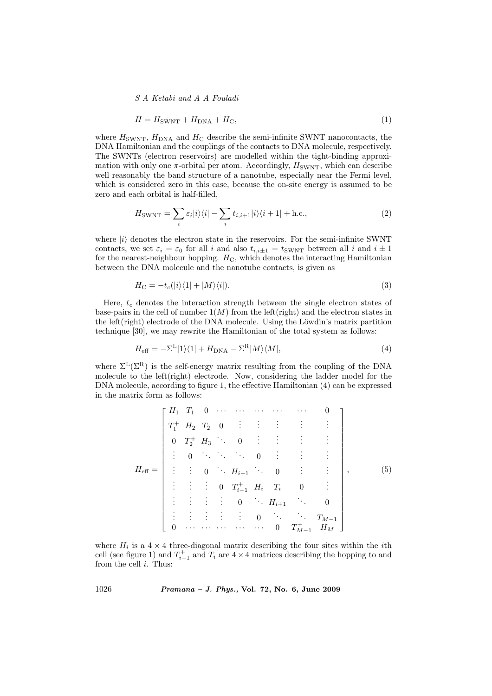$$
H = H_{\text{SWNT}} + H_{\text{DNA}} + H_{\text{C}},\tag{1}
$$

where  $H_{\text{SWNT}}$ ,  $H_{\text{DNA}}$  and  $H_{\text{C}}$  describe the semi-infinite SWNT nanocontacts, the DNA Hamiltonian and the couplings of the contacts to DNA molecule, respectively. The SWNTs (electron reservoirs) are modelled within the tight-binding approximation with only one  $\pi$ -orbital per atom. Accordingly,  $H_{\text{SWNT}}$ , which can describe well reasonably the band structure of a nanotube, especially near the Fermi level, which is considered zero in this case, because the on-site energy is assumed to be zero and each orbital is half-filled,

$$
H_{\text{SWNT}} = \sum_{i} \varepsilon_{i} |i\rangle\langle i| - \sum_{i} t_{i,i+1} |i\rangle\langle i+1| + \text{h.c.},\tag{2}
$$

where  $|i\rangle$  denotes the electron state in the reservoirs. For the semi-infinite SWNT contacts, we set  $\varepsilon_i = \varepsilon_0$  for all i and also  $t_{i,i\pm 1} = t_{\text{SWNT}}$  between all i and  $i \pm 1$ for the nearest-neighbour hopping.  $H_C$ , which denotes the interacting Hamiltonian between the DNA molecule and the nanotube contacts, is given as

$$
H_{\rm C} = -t_c(|i\rangle\langle 1| + |M\rangle\langle i|). \tag{3}
$$

Here,  $t_c$  denotes the interaction strength between the single electron states of base-pairs in the cell of number  $1(M)$  from the left(right) and the electron states in the left $(right)$  electrode of the DNA molecule. Using the Löwdin's matrix partition technique [30], we may rewrite the Hamiltonian of the total system as follows:

$$
H_{\text{eff}} = -\Sigma^{\text{L}}|1\rangle\langle 1| + H_{\text{DNA}} - \Sigma^{\text{R}}|M\rangle\langle M|,\tag{4}
$$

where  $\Sigma^L(\Sigma^R)$  is the self-energy matrix resulting from the coupling of the DNA molecule to the left(right) electrode. Now, considering the ladder model for the DNA molecule, according to figure 1, the effective Hamiltonian (4) can be expressed in the matrix form as follows:

$$
H_{\text{eff}} = \begin{bmatrix} H_1 & T_1 & 0 & \cdots & \cdots & \cdots & \cdots & 0 \\ T_1^+ & H_2 & T_2 & 0 & \vdots & \vdots & \vdots & \vdots & \vdots \\ 0 & T_2^+ & H_3 & \cdots & 0 & \vdots & \vdots & \vdots & \vdots \\ \vdots & 0 & \ddots & \ddots & 0 & \vdots & \vdots & \vdots \\ \vdots & \vdots & \vdots & 0 & \ddots & H_{i-1} & \cdots & 0 & \vdots \\ \vdots & \vdots & \vdots & \vdots & 0 & \ddots & H_{i+1} & \cdots & 0 \\ \vdots & \vdots & \vdots & \vdots & \vdots & 0 & \ddots & \ddots & T_{M-1} \\ 0 & \cdots & \cdots & \cdots & \cdots & \cdots & 0 & T_{M-1}^+ & H_M \end{bmatrix},
$$
(5)

where  $H_i$  is a  $4 \times 4$  three-diagonal matrix describing the four sites within the *i*th cell (see figure 1) and  $T_{i-1}^+$  and  $T_i$  are  $4 \times 4$  matrices describing the hopping to and from the cell  $i$ . Thus: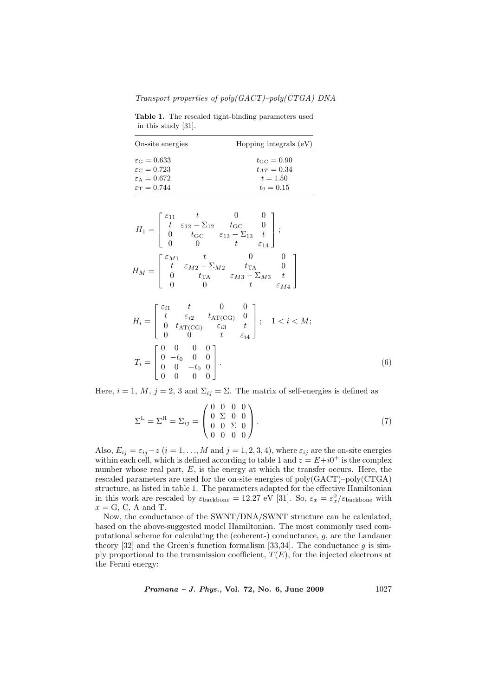Transport properties of poly(GACT)–poly(CTGA) DNA

Table 1. The rescaled tight-binding parameters used in this study [31].

| On-site energies              | Hopping integrals $(eV)$ |
|-------------------------------|--------------------------|
| $\varepsilon_{\rm G}=0.633$   | $t_{\rm GC} = 0.90$      |
| $\varepsilon_{\rm C}=0.723$   | $t_{AT} = 0.34$          |
| $\varepsilon_A = 0.672$       | $t = 1.50$               |
| $\varepsilon_{\rm T} = 0.744$ | $t_0 = 0.15$             |

$$
H_{1} = \begin{bmatrix} \varepsilon_{11} & t & 0 & 0 \\ t & \varepsilon_{12} - \Sigma_{12} & t_{\rm GC} & 0 \\ 0 & t_{\rm GC} & \varepsilon_{13} - \Sigma_{13} & t \\ 0 & 0 & t & \varepsilon_{14} \end{bmatrix};
$$

$$
H_{M} = \begin{bmatrix} \varepsilon_{M1} & t & 0 & 0 \\ t & \varepsilon_{M2} - \Sigma_{M2} & t_{\rm TA} & 0 \\ 0 & t_{\rm TA} & \varepsilon_{M3} - \Sigma_{M3} & t \\ 0 & 0 & t & \varepsilon_{M4} \end{bmatrix}
$$

$$
H_{i} = \begin{bmatrix} \varepsilon_{i1} & t & 0 & 0 \\ t & \varepsilon_{i2} & t_{\text{AT}(\text{CG})} & 0 \\ 0 & t_{\text{AT}(\text{CG})} & \varepsilon_{i3} & t \\ 0 & 0 & t & \varepsilon_{i4} \end{bmatrix}; \quad 1 < i < M;
$$
  

$$
T_{i} = \begin{bmatrix} 0 & 0 & 0 & 0 \\ 0 & -t_{0} & 0 & 0 \\ 0 & 0 & -t_{0} & 0 \\ 0 & 0 & 0 & 0 \end{bmatrix}.
$$
 (6)

Here,  $i = 1, M, j = 2, 3$  and  $\Sigma_{ij} = \Sigma$ . The matrix of self-energies is defined as

$$
\Sigma^{\mathcal{L}} = \Sigma^{\mathcal{R}} = \Sigma_{ij} = \begin{pmatrix} 0 & 0 & 0 & 0 \\ 0 & \Sigma & 0 & 0 \\ 0 & 0 & \Sigma & 0 \\ 0 & 0 & 0 & 0 \end{pmatrix}.
$$
 (7)

Also,  $E_{ij} = \varepsilon_{ij} - z$   $(i = 1, ..., M$  and  $j = 1, 2, 3, 4)$ , where  $\varepsilon_{ij}$  are the on-site energies within each cell, which is defined according to table 1 and  $z = E + i0^+$  is the complex number whose real part,  $E$ , is the energy at which the transfer occurs. Here, the rescaled parameters are used for the on-site energies of poly(GACT)–poly(CTGA) structure, as listed in table 1. The parameters adapted for the effective Hamiltonian in this work are rescaled by  $\varepsilon_{\text{backbone}} = 12.27 \text{ eV}$  [31]. So,  $\varepsilon_x = \varepsilon_x^0/\varepsilon_{\text{backbone}}$  with  $x = G$ , C, A and T.

Now, the conductance of the SWNT/DNA/SWNT structure can be calculated, based on the above-suggested model Hamiltonian. The most commonly used computational scheme for calculating the (coherent-) conductance, g, are the Landauer theory [32] and the Green's function formalism [33,34]. The conductance g is simply proportional to the transmission coefficient,  $T(E)$ , for the injected electrons at the Fermi energy: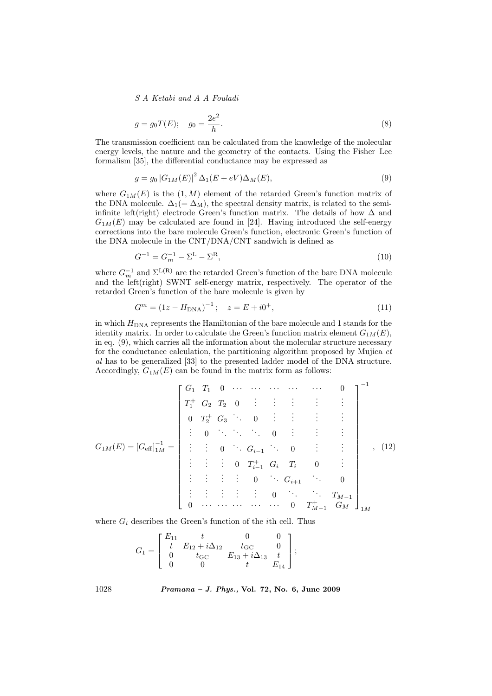$$
g = g_0 T(E); \quad g_0 = \frac{2e^2}{h}.
$$
\n(8)

The transmission coefficient can be calculated from the knowledge of the molecular energy levels, the nature and the geometry of the contacts. Using the Fisher–Lee formalism [35], the differential conductance may be expressed as

$$
g = g_0 |G_{1M}(E)|^2 \Delta_1(E + eV) \Delta_M(E), \tag{9}
$$

where  $G_{1M}(E)$  is the  $(1, M)$  element of the retarded Green's function matrix of the DNA molecule.  $\Delta_1(=\Delta_M)$ , the spectral density matrix, is related to the semiinfinite left(right) electrode Green's function matrix. The details of how  $\Delta$  and  $G_{1M}(E)$  may be calculated are found in [24]. Having introduced the self-energy corrections into the bare molecule Green's function, electronic Green's function of the DNA molecule in the CNT/DNA/CNT sandwich is defined as

$$
G^{-1} = G_m^{-1} - \Sigma^{\mathcal{L}} - \Sigma^{\mathcal{R}},\tag{10}
$$

where  $G_m^{-1}$  and  $\Sigma^{\text{L(R)}}$  are the retarded Green's function of the bare DNA molecule and the left(right) SWNT self-energy matrix, respectively. The operator of the retarded Green's function of the bare molecule is given by

$$
G^{m} = (1z - H_{\text{DNA}})^{-1}; \quad z = E + i0^{+}, \tag{11}
$$

in which  $H_{\text{DNA}}$  represents the Hamiltonian of the bare molecule and 1 stands for the identity matrix. In order to calculate the Green's function matrix element  $G_{1M}(E)$ , in eq. (9), which carries all the information about the molecular structure necessary for the conductance calculation, the partitioning algorithm proposed by Mujica et al has to be generalized [33] to the presented ladder model of the DNA structure. Accordingly,  $G_{1M}(E)$  can be found in the matrix form as follows:

$$
G_{1M}(E) = [G_{\text{eff}}]_{1M}^{-1} = \begin{bmatrix} G_1 & T_1 & 0 & \cdots & \cdots & \cdots & \cdots & 0 \\ T_1^+ & G_2 & T_2 & 0 & \vdots & \vdots & \vdots & \vdots & \vdots \\ 0 & T_2^+ & G_3 & \cdots & 0 & \vdots & \vdots & \vdots & \vdots \\ \vdots & 0 & \ddots & \ddots & \ddots & 0 & \vdots & \vdots & \vdots \\ \vdots & \vdots & \vdots & 0 & \ddots & G_{i-1} & \cdots & 0 & \vdots \\ \vdots & \vdots & \vdots & \vdots & 0 & \ddots & G_{i+1} & \cdots & 0 \\ \vdots & \vdots & \vdots & \vdots & \vdots & 0 & \ddots & \ddots & T_{M-1} \\ 0 & \cdots & \cdots & \cdots & \cdots & 0 & T_{M-1}^+ & G_M \end{bmatrix}_{1M}^{-1}
$$

where  $G_i$  describes the Green's function of the *i*th cell. Thus

$$
G_1 = \begin{bmatrix} E_{11} & t & 0 & 0 \\ t & E_{12} + i\Delta_{12} & t_{\rm GC} & 0 \\ 0 & t_{\rm GC} & E_{13} + i\Delta_{13} & t \\ 0 & 0 & t & E_{14} \end{bmatrix};
$$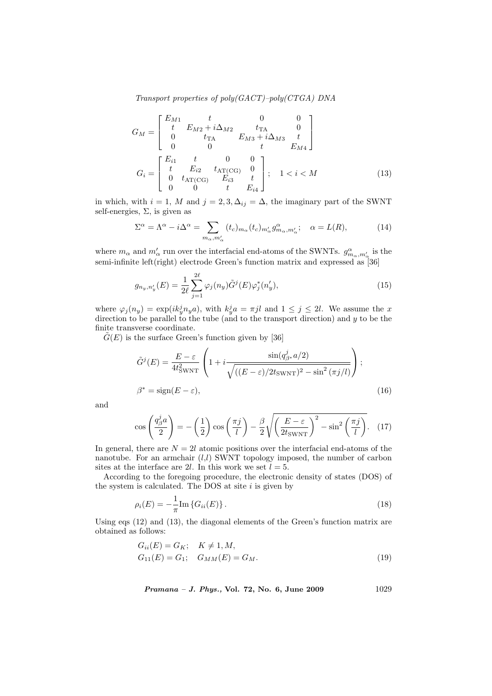Transport properties of poly(GACT)–poly(CTGA) DNA

$$
G_M = \begin{bmatrix} E_{M1} & t & 0 & 0 \\ t & E_{M2} + i\Delta_{M2} & t_{\text{TA}} & 0 \\ 0 & t_{\text{TA}} & E_{M3} + i\Delta_{M3} & t \\ 0 & 0 & t & E_{M4} \end{bmatrix}
$$

$$
G_i = \begin{bmatrix} E_{i1} & t & 0 & 0 \\ t & E_{i2} & t_{\text{AT(CG)}} & 0 \\ 0 & t_{\text{AT(CG)}} & E_{i3} & t \\ 0 & 0 & t & E_{i4} \end{bmatrix}; \quad 1 < i < M \tag{13}
$$

in which, with  $i = 1$ , M and  $j = 2, 3, \Delta_{ij} = \Delta$ , the imaginary part of the SWNT self-energies,  $\Sigma$ , is given as

$$
\Sigma^{\alpha} = \Lambda^{\alpha} - i\Delta^{\alpha} = \sum_{m_{\alpha}, m_{\alpha}'} (t_c)_{m_{\alpha}} (t_c)_{m_{\alpha}'} g_{m_{\alpha}, m_{\alpha}'}^{\alpha}; \quad \alpha = L(R), \tag{14}
$$

where  $m_\alpha$  and  $m'_\alpha$  run over the interfacial end-atoms of the SWNTs.  $g^\alpha_{m_\alpha,m'_\alpha}$  is the semi-infinite left(right) electrode Green's function matrix and expressed as [36]

$$
g_{n_y,n'_y}(E) = \frac{1}{2\ell} \sum_{j=1}^{2\ell} \varphi_j(n_y) \tilde{G}^j(E) \varphi_j^*(n'_y), \qquad (15)
$$

where  $\varphi_j(n_y) = \exp(ik_y^j n_y a)$ , with  $k_y^j a = \pi j l$  and  $1 \le j \le 2l$ . We assume the x direction to be parallel to the tube (and to the transport direction) and  $y$  to be the finite transverse coordinate.

 $\tilde{G}(E)$  is the surface Green's function given by [36]

$$
\tilde{G}^{j}(E) = \frac{E - \varepsilon}{4t_{\text{SWNT}}^{2}} \left( 1 + i \frac{\sin(q_{\beta^{*}}^{j} a/2)}{\sqrt{((E - \varepsilon)/2t_{\text{SWNT}})^{2} - \sin^{2}(\pi j/l)}} \right);
$$
\n
$$
\beta^{*} = \text{sign}(E - \varepsilon),
$$
\n(16)

and

$$
\cos\left(\frac{q_\beta^j a}{2}\right) = -\left(\frac{1}{2}\right)\cos\left(\frac{\pi j}{l}\right) - \frac{\beta}{2}\sqrt{\left(\frac{E-\varepsilon}{2t_{\text{SWNT}}}\right)^2 - \sin^2\left(\frac{\pi j}{l}\right)}. (17)
$$

In general, there are  $N = 2l$  atomic positions over the interfacial end-atoms of the nanotube. For an armchair  $(l,l)$  SWNT topology imposed, the number of carbon sites at the interface are 2l. In this work we set  $l = 5$ .

According to the foregoing procedure, the electronic density of states (DOS) of the system is calculated. The DOS at site  $i$  is given by

$$
\rho_i(E) = -\frac{1}{\pi} \text{Im} \{ G_{ii}(E) \} \,. \tag{18}
$$

Using eqs (12) and (13), the diagonal elements of the Green's function matrix are obtained as follows:

$$
G_{ii}(E) = G_K; \quad K \neq 1, M,
$$
  
\n
$$
G_{11}(E) = G_1; \quad G_{MM}(E) = G_M.
$$
\n(19)

Pramana – J. Phys., Vol. 72, No. 6, June 2009 1029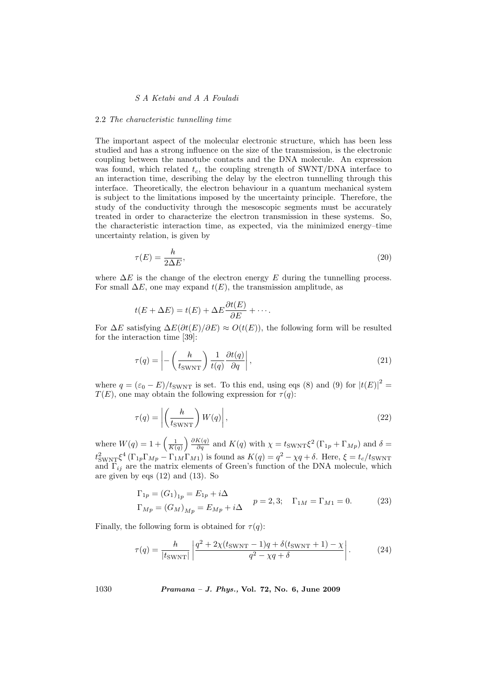#### 2.2 The characteristic tunnelling time

The important aspect of the molecular electronic structure, which has been less studied and has a strong influence on the size of the transmission, is the electronic coupling between the nanotube contacts and the DNA molecule. An expression was found, which related  $t_c$ , the coupling strength of SWNT/DNA interface to an interaction time, describing the delay by the electron tunnelling through this interface. Theoretically, the electron behaviour in a quantum mechanical system is subject to the limitations imposed by the uncertainty principle. Therefore, the study of the conductivity through the mesoscopic segments must be accurately treated in order to characterize the electron transmission in these systems. So, the characteristic interaction time, as expected, via the minimized energy–time uncertainty relation, is given by

$$
\tau(E) = \frac{h}{2\Delta E},\tag{20}
$$

where  $\Delta E$  is the change of the electron energy E during the tunnelling process. For small  $\Delta E$ , one may expand  $t(E)$ , the transmission amplitude, as

$$
t(E + \Delta E) = t(E) + \Delta E \frac{\partial t(E)}{\partial E} + \cdots
$$

For  $\Delta E$  satisfying  $\Delta E(\partial t(E)/\partial E) \approx O(t(E))$ , the following form will be resulted for the interaction time [39]:

$$
\tau(q) = \left| -\left(\frac{h}{t_{\text{SWNT}}}\right) \frac{1}{t(q)} \frac{\partial t(q)}{\partial q} \right|,\tag{21}
$$

where  $q = (\varepsilon_0 - E)/t_{\text{SWNT}}$  is set. To this end, using eqs (8) and (9) for  $|t(E)|^2 =$  $T(E)$ , one may obtain the following expression for  $\tau(q)$ :

$$
\tau(q) = \left| \left( \frac{h}{t_{\text{SWNT}}} \right) W(q) \right|,\tag{22}
$$

where  $W(q) = 1 + \left(\frac{1}{K(q)}\right)$  $\int \frac{\partial K(q)}{\partial q}$  and  $K(q)$  with  $\chi = t_{\text{SWNT}} \xi^2 (\Gamma_{1p} + \Gamma_{Mp})$  and  $\delta =$  $t_{\text{SWNT}}^2 \xi^4 (\Gamma_{1p} \Gamma_{Mp} - \Gamma_{1M} \Gamma_{M1})$  is found as  $K(q) = q^2 - \chi q + \delta$ . Here,  $\xi = t_c/t_{\text{SWNT}}$ and  $\Gamma_{ij}$  are the matrix elements of Green's function of the DNA molecule, which are given by eqs (12) and (13). So

$$
\Gamma_{1p} = (G_1)_{1p} = E_{1p} + i\Delta \n\Gamma_{Mp} = (G_M)_{Mp} = E_{Mp} + i\Delta
$$
  $p = 2, 3; \quad \Gamma_{1M} = \Gamma_{M1} = 0.$  (23)

Finally, the following form is obtained for  $\tau(q)$ :

$$
\tau(q) = \frac{h}{|t_{\text{SWNT}}|} \left| \frac{q^2 + 2\chi(t_{\text{SWNT}} - 1)q + \delta(t_{\text{SWNT}} + 1) - \chi}{q^2 - \chi q + \delta} \right|.
$$
 (24)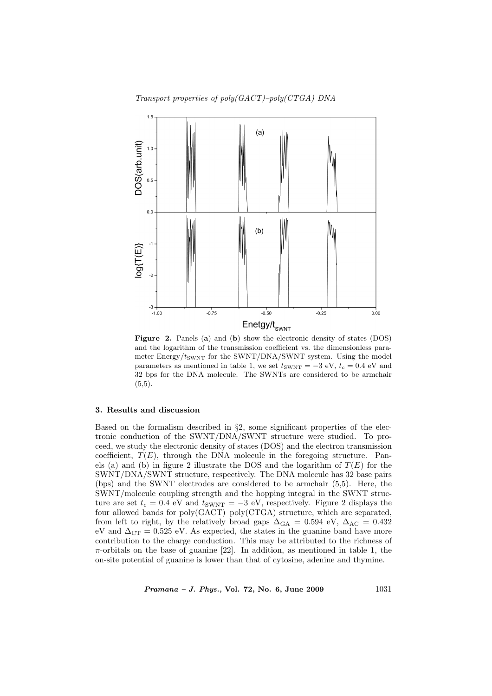Transport properties of poly(GACT)–poly(CTGA) DNA



Figure 2. Panels (a) and (b) show the electronic density of states (DOS) and the logarithm of the transmission coefficient vs. the dimensionless parameter  $Energy/t_{SWNT}$  for the SWNT/DNA/SWNT system. Using the model parameters as mentioned in table 1, we set  $t_{\text{SWNT}} = -3$  eV,  $t_c = 0.4$  eV and 32 bps for the DNA molecule. The SWNTs are considered to be armchair  $(5,5).$ 

### 3. Results and discussion

Based on the formalism described in §2, some significant properties of the electronic conduction of the SWNT/DNA/SWNT structure were studied. To proceed, we study the electronic density of states (DOS) and the electron transmission coefficient,  $T(E)$ , through the DNA molecule in the foregoing structure. Panels (a) and (b) in figure 2 illustrate the DOS and the logarithm of  $T(E)$  for the SWNT/DNA/SWNT structure, respectively. The DNA molecule has 32 base pairs (bps) and the SWNT electrodes are considered to be armchair (5,5). Here, the SWNT/molecule coupling strength and the hopping integral in the SWNT structure are set  $t_c = 0.4$  eV and  $t_{\text{SWNT}} = -3$  eV, respectively. Figure 2 displays the four allowed bands for poly(GACT)–poly(CTGA) structure, which are separated, from left to right, by the relatively broad gaps  $\Delta_{\text{GA}} = 0.594 \text{ eV}, \Delta_{\text{AC}} = 0.432$ eV and  $\Delta_{CT} = 0.525$  eV. As expected, the states in the guanine band have more contribution to the charge conduction. This may be attributed to the richness of  $\pi$ -orbitals on the base of guanine [22]. In addition, as mentioned in table 1, the on-site potential of guanine is lower than that of cytosine, adenine and thymine.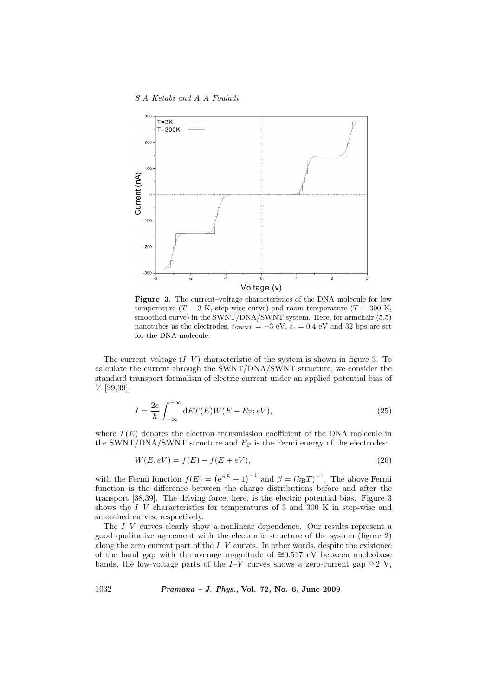S A Ketabi and A A Fouladi



Figure 3. The current–voltage characteristics of the DNA molecule for low temperature  $(T = 3 K$ , step-wise curve) and room temperature  $(T = 300 K$ , smoothed curve) in the SWNT/DNA/SWNT system. Here, for armchair  $(5,5)$ nanotubes as the electrodes,  $t_{\text{SWNT}} = -3$  eV,  $t_c = 0.4$  eV and 32 bps are set for the DNA molecule.

The current–voltage  $(I-V)$  characteristic of the system is shown in figure 3. To calculate the current through the SWNT/DNA/SWNT structure, we consider the standard transport formalism of electric current under an applied potential bias of V [29,39]:

$$
I = \frac{2e}{h} \int_{-\infty}^{+\infty} dET(E)W(E - E_{\rm F}; eV), \tag{25}
$$

where  $T(E)$  denotes the electron transmission coefficient of the DNA molecule in the SWNT/DNA/SWNT structure and  $E_F$  is the Fermi energy of the electrodes:

$$
W(E, eV) = f(E) - f(E + eV),
$$
\n(26)

with the Fermi function  $f(E) = (e^{\beta E} + 1)^{-1}$  and  $\beta = (k_B T)^{-1}$ . The above Fermi function is the difference between the charge distributions before and after the transport [38,39]. The driving force, here, is the electric potential bias. Figure 3 shows the  $I-V$  characteristics for temperatures of 3 and 300 K in step-wise and smoothed curves, respectively.

The  $I-V$  curves clearly show a nonlinear dependence. Our results represent a good qualitative agreement with the electronic structure of the system (figure 2) along the zero current part of the  $I-V$  curves. In other words, despite the existence of the band gap with the average magnitude of  $\cong$ 0.517 eV between nucleobase bands, the low-voltage parts of the I–V curves shows a zero-current gap  $\cong 2$  V,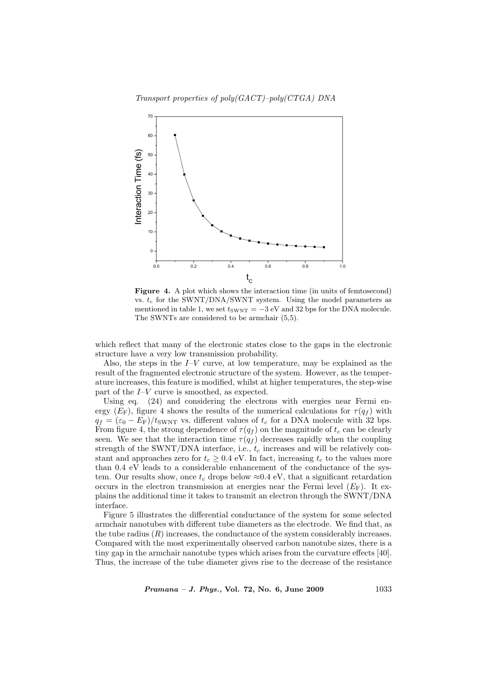Transport properties of poly(GACT)–poly(CTGA) DNA



Figure 4. A plot which shows the interaction time (in units of femtosecond) vs.  $t_c$  for the SWNT/DNA/SWNT system. Using the model parameters as mentioned in table 1, we set  $t_{\text{SWNT}} = -3$  eV and 32 bps for the DNA molecule. The SWNTs are considered to be armchair (5,5).

which reflect that many of the electronic states close to the gaps in the electronic structure have a very low transmission probability.

Also, the steps in the  $I-V$  curve, at low temperature, may be explained as the result of the fragmented electronic structure of the system. However, as the temperature increases, this feature is modified, whilst at higher temperatures, the step-wise part of the I–V curve is smoothed, as expected.

Using eq. (24) and considering the electrons with energies near Fermi energy ( $E_F$ ), figure 4 shows the results of the numerical calculations for  $\tau(q_f)$  with  $q_f = (\varepsilon_0 - E_F)/t_{\text{SWNT}}$  vs. different values of  $t_c$  for a DNA molecule with 32 bps. From figure 4, the strong dependence of  $\tau(q_f)$  on the magnitude of  $t_c$  can be clearly seen. We see that the interaction time  $\tau(q_f)$  decreases rapidly when the coupling strength of the SWNT/DNA interface, i.e.,  $t_c$  increases and will be relatively constant and approaches zero for  $t_c \geq 0.4$  eV. In fact, increasing  $t_c$  to the values more than 0.4 eV leads to a considerable enhancement of the conductance of the system. Our results show, once  $t_c$  drops below  $\approx 0.4 \text{ eV}$ , that a significant retardation occurs in the electron transmission at energies near the Fermi level  $(E_F)$ . It explains the additional time it takes to transmit an electron through the SWNT/DNA interface.

Figure 5 illustrates the differential conductance of the system for some selected armchair nanotubes with different tube diameters as the electrode. We find that, as the tube radius  $(R)$  increases, the conductance of the system considerably increases. Compared with the most experimentally observed carbon nanotube sizes, there is a tiny gap in the armchair nanotube types which arises from the curvature effects [40]. Thus, the increase of the tube diameter gives rise to the decrease of the resistance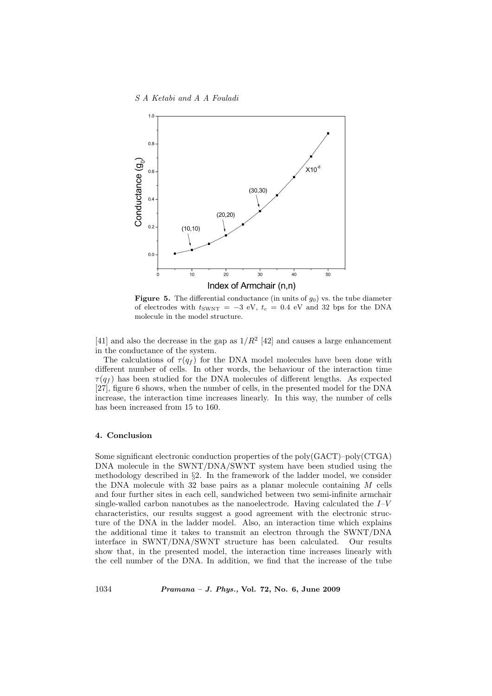

**Figure 5.** The differential conductance (in units of  $g_0$ ) vs. the tube diameter of electrodes with  $t_{\text{SWNT}} = -3$  eV,  $t_c = 0.4$  eV and 32 bps for the DNA molecule in the model structure.

[41] and also the decrease in the gap as  $1/R^2$  [42] and causes a large enhancement in the conductance of the system.

The calculations of  $\tau(q_f)$  for the DNA model molecules have been done with different number of cells. In other words, the behaviour of the interaction time  $\tau(q_f)$  has been studied for the DNA molecules of different lengths. As expected [27], figure 6 shows, when the number of cells, in the presented model for the DNA increase, the interaction time increases linearly. In this way, the number of cells has been increased from 15 to 160.

#### 4. Conclusion

Some significant electronic conduction properties of the poly(GACT)–poly(CTGA) DNA molecule in the SWNT/DNA/SWNT system have been studied using the methodology described in §2. In the framework of the ladder model, we consider the DNA molecule with  $32$  base pairs as a planar molecule containing M cells and four further sites in each cell, sandwiched between two semi-infinite armchair single-walled carbon nanotubes as the nanoelectrode. Having calculated the  $I-V$ characteristics, our results suggest a good agreement with the electronic structure of the DNA in the ladder model. Also, an interaction time which explains the additional time it takes to transmit an electron through the SWNT/DNA interface in SWNT/DNA/SWNT structure has been calculated. Our results show that, in the presented model, the interaction time increases linearly with the cell number of the DNA. In addition, we find that the increase of the tube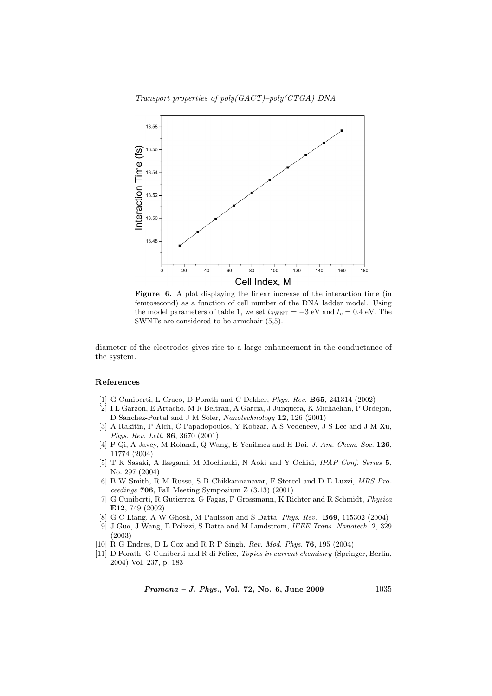Transport properties of poly(GACT)–poly(CTGA) DNA



Figure 6. A plot displaying the linear increase of the interaction time (in femtosecond) as a function of cell number of the DNA ladder model. Using the model parameters of table 1, we set  $t_{\text{SWNT}} = -3$  eV and  $t_c = 0.4$  eV. The SWNTs are considered to be armchair (5,5).

diameter of the electrodes gives rise to a large enhancement in the conductance of the system.

#### References

- [1] G Cuniberti, L Craco, D Porath and C Dekker, Phys. Rev. B65, 241314 (2002)
- [2] I L Garzon, E Artacho, M R Beltran, A Garcia, J Junquera, K Michaelian, P Ordejon, D Sanchez-Portal and J M Soler, Nanotechnology 12, 126 (2001)
- [3] A Rakitin, P Aich, C Papadopoulos, Y Kobzar, A S Vedeneev, J S Lee and J M Xu, Phys. Rev. Lett. 86, 3670 (2001)
- [4] P Qi, A Javey, M Rolandi, Q Wang, E Yenilmez and H Dai, J. Am. Chem. Soc. 126, 11774 (2004)
- [5] T K Sasaki, A Ikegami, M Mochizuki, N Aoki and Y Ochiai, IPAP Conf. Series 5, No. 297 (2004)
- [6] B W Smith, R M Russo, S B Chikkannanavar, F Stercel and D E Luzzi, MRS Proceedings 706, Fall Meeting Symposium Z (3.13) (2001)
- [7] G Cuniberti, R Gutierrez, G Fagas, F Grossmann, K Richter and R Schmidt, Physica E12, 749 (2002)
- [8] G C Liang, A W Ghosh, M Paulsson and S Datta, Phys. Rev. B69, 115302 (2004)
- [9] J Guo, J Wang, E Polizzi, S Datta and M Lundstrom, IEEE Trans. Nanotech. 2, 329 (2003)
- [10] R G Endres, D L Cox and R R P Singh, Rev. Mod. Phys. 76, 195 (2004)
- [11] D Porath, G Cuniberti and R di Felice, Topics in current chemistry (Springer, Berlin, 2004) Vol. 237, p. 183